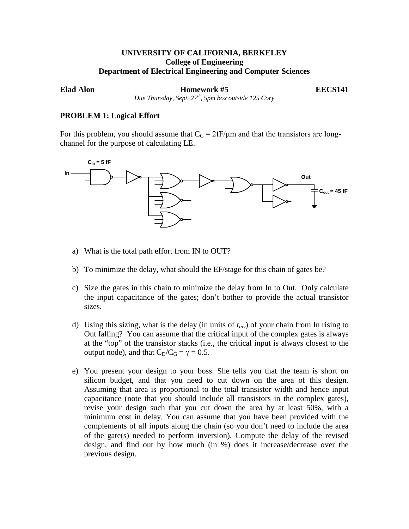# **UNIVERSITY OF CALIFORNIA, BERKELEY College of Engineering Department of Electrical Engineering and Computer Sciences**

**Elad Alon Homework #5 EECS141**

*Due Thursday, Sept. 27th, 5pm box outside 125 Cory*

## **PROBLEM 1: Logical Effort**

For this problem, you should assume that  $C_G = 2fF/\mu m$  and that the transistors are longchannel for the purpose of calculating LE.



- a) What is the total path effort from IN to OUT?
- b) To minimize the delay, what should the EF/stage for this chain of gates be?
- c) Size the gates in this chain to minimize the delay from In to Out. Only calculate the input capacitance of the gates; don't bother to provide the actual transistor sizes.
- d) Using this sizing, what is the delay (in units of *tinv*) of your chain from In rising to Out falling? You can assume that the critical input of the complex gates is always at the "top" of the transistor stacks (i.e., the critical input is always closest to the output node), and that  $C_D/C_G = \gamma = 0.5$ .
- e) You present your design to your boss. She tells you that the team is short on silicon budget, and that you need to cut down on the area of this design. Assuming that area is proportional to the total transistor width and hence input capacitance (note that you should include all transistors in the complex gates), revise your design such that you cut down the area by at least 50%, with a minimum cost in delay. You can assume that you have been provided with the complements of all inputs along the chain (so you don't need to include the area of the gate(s) needed to perform inversion). Compute the delay of the revised design, and find out by how much (in %) does it increase/decrease over the previous design.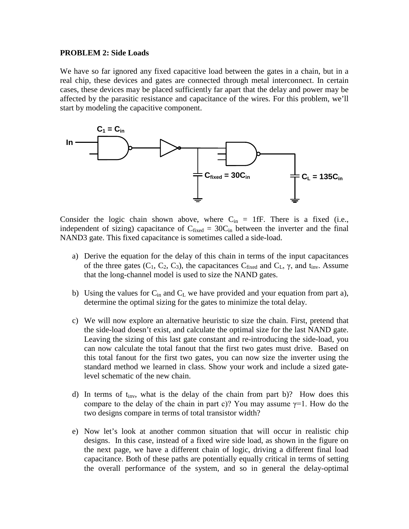### **PROBLEM 2: Side Loads**

We have so far ignored any fixed capacitive load between the gates in a chain, but in a real chip, these devices and gates are connected through metal interconnect. In certain cases, these devices may be placed sufficiently far apart that the delay and power may be affected by the parasitic resistance and capacitance of the wires. For this problem, we'll start by modeling the capacitive component.



Consider the logic chain shown above, where  $C_{in} = 1$  f. There is a fixed (i.e., independent of sizing) capacitance of  $C_{fixed} = 30C_{in}$  between the inverter and the final NAND3 gate. This fixed capacitance is sometimes called a side-load.

- a) Derive the equation for the delay of this chain in terms of the input capacitances of the three gates  $(C_1, C_2, C_3)$ , the capacitances  $C_{fixed}$  and  $C_L$ ,  $\gamma$ , and  $t_{inv}$ . Assume that the long-channel model is used to size the NAND gates.
- b) Using the values for  $C_{in}$  and  $C_L$  we have provided and your equation from part a), determine the optimal sizing for the gates to minimize the total delay.
- c) We will now explore an alternative heuristic to size the chain. First, pretend that the side-load doesn't exist, and calculate the optimal size for the last NAND gate. Leaving the sizing of this last gate constant and re-introducing the side-load, you can now calculate the total fanout that the first two gates must drive. Based on this total fanout for the first two gates, you can now size the inverter using the standard method we learned in class. Show your work and include a sized gatelevel schematic of the new chain.
- d) In terms of  $t_{inv}$ , what is the delay of the chain from part b)? How does this compare to the delay of the chain in part c)? You may assume  $\gamma=1$ . How do the two designs compare in terms of total transistor width?
- e) Now let's look at another common situation that will occur in realistic chip designs. In this case, instead of a fixed wire side load, as shown in the figure on the next page, we have a different chain of logic, driving a different final load capacitance. Both of these paths are potentially equally critical in terms of setting the overall performance of the system, and so in general the delay-optimal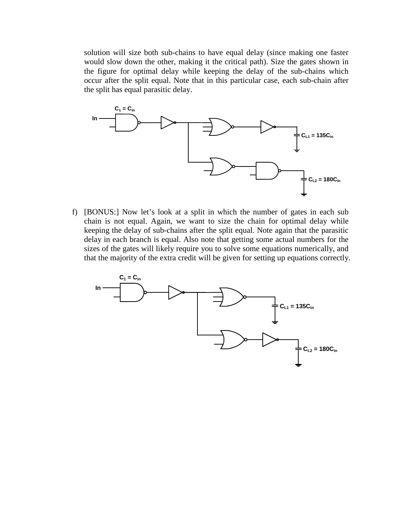solution will size both sub-chains to have equal delay (since making one faster would slow down the other, making it the critical path). Size the gates shown in the figure for optimal delay while keeping the delay of the sub-chains which occur after the split equal. Note that in this particular case, each sub-chain after the split has equal parasitic delay.



f) [BONUS:] Now let's look at a split in which the number of gates in each sub chain is not equal. Again, we want to size the chain for optimal delay while keeping the delay of sub-chains after the split equal. Note again that the parasitic delay in each branch is equal. Also note that getting some actual numbers for the sizes of the gates will likely require you to solve some equations numerically, and that the majority of the extra credit will be given for setting up equations correctly.